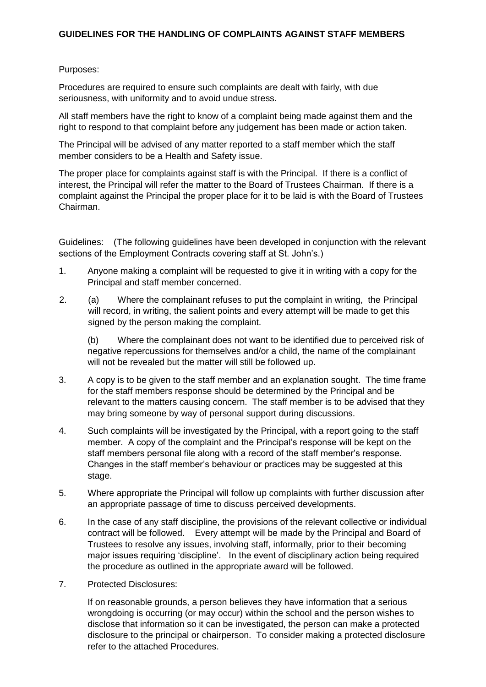## **GUIDELINES FOR THE HANDLING OF COMPLAINTS AGAINST STAFF MEMBERS**

## Purposes:

Procedures are required to ensure such complaints are dealt with fairly, with due seriousness, with uniformity and to avoid undue stress.

All staff members have the right to know of a complaint being made against them and the right to respond to that complaint before any judgement has been made or action taken.

The Principal will be advised of any matter reported to a staff member which the staff member considers to be a Health and Safety issue.

The proper place for complaints against staff is with the Principal. If there is a conflict of interest, the Principal will refer the matter to the Board of Trustees Chairman. If there is a complaint against the Principal the proper place for it to be laid is with the Board of Trustees Chairman.

Guidelines: (The following guidelines have been developed in conjunction with the relevant sections of the Employment Contracts covering staff at St. John's.)

- 1. Anyone making a complaint will be requested to give it in writing with a copy for the Principal and staff member concerned.
- 2. (a) Where the complainant refuses to put the complaint in writing, the Principal will record, in writing, the salient points and every attempt will be made to get this signed by the person making the complaint.

(b) Where the complainant does not want to be identified due to perceived risk of negative repercussions for themselves and/or a child, the name of the complainant will not be revealed but the matter will still be followed up.

- 3. A copy is to be given to the staff member and an explanation sought. The time frame for the staff members response should be determined by the Principal and be relevant to the matters causing concern. The staff member is to be advised that they may bring someone by way of personal support during discussions.
- 4. Such complaints will be investigated by the Principal, with a report going to the staff member. A copy of the complaint and the Principal's response will be kept on the staff members personal file along with a record of the staff member's response. Changes in the staff member's behaviour or practices may be suggested at this stage.
- 5. Where appropriate the Principal will follow up complaints with further discussion after an appropriate passage of time to discuss perceived developments.
- 6. In the case of any staff discipline, the provisions of the relevant collective or individual contract will be followed. Every attempt will be made by the Principal and Board of Trustees to resolve any issues, involving staff, informally, prior to their becoming major issues requiring 'discipline'. In the event of disciplinary action being required the procedure as outlined in the appropriate award will be followed.
- 7. Protected Disclosures:

If on reasonable grounds, a person believes they have information that a serious wrongdoing is occurring (or may occur) within the school and the person wishes to disclose that information so it can be investigated, the person can make a protected disclosure to the principal or chairperson. To consider making a protected disclosure refer to the attached Procedures.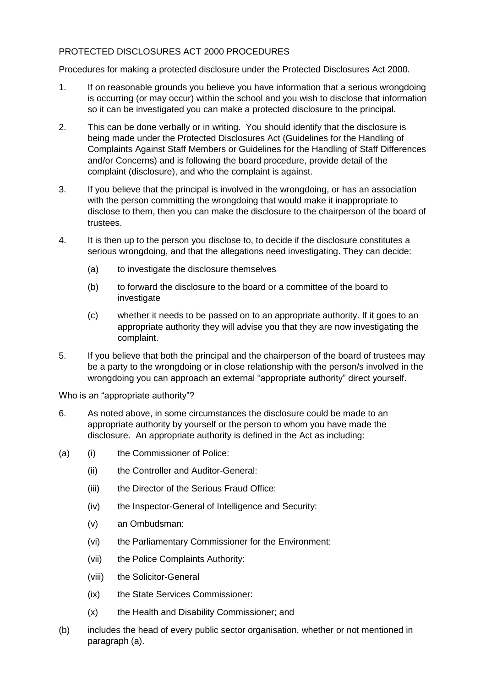## PROTECTED DISCLOSURES ACT 2000 PROCEDURES

Procedures for making a protected disclosure under the Protected Disclosures Act 2000.

- 1. If on reasonable grounds you believe you have information that a serious wrongdoing is occurring (or may occur) within the school and you wish to disclose that information so it can be investigated you can make a protected disclosure to the principal.
- 2. This can be done verbally or in writing. You should identify that the disclosure is being made under the Protected Disclosures Act (Guidelines for the Handling of Complaints Against Staff Members or Guidelines for the Handling of Staff Differences and/or Concerns) and is following the board procedure, provide detail of the complaint (disclosure), and who the complaint is against.
- 3. If you believe that the principal is involved in the wrongdoing, or has an association with the person committing the wrongdoing that would make it inappropriate to disclose to them, then you can make the disclosure to the chairperson of the board of trustees.
- 4. It is then up to the person you disclose to, to decide if the disclosure constitutes a serious wrongdoing, and that the allegations need investigating. They can decide:
	- (a) to investigate the disclosure themselves
	- (b) to forward the disclosure to the board or a committee of the board to investigate
	- (c) whether it needs to be passed on to an appropriate authority. If it goes to an appropriate authority they will advise you that they are now investigating the complaint.
- 5. If you believe that both the principal and the chairperson of the board of trustees may be a party to the wrongdoing or in close relationship with the person/s involved in the wrongdoing you can approach an external "appropriate authority" direct yourself.

Who is an "appropriate authority"?

- 6. As noted above, in some circumstances the disclosure could be made to an appropriate authority by yourself or the person to whom you have made the disclosure. An appropriate authority is defined in the Act as including:
- (a) (i) the Commissioner of Police:
	- (ii) the Controller and Auditor-General:
	- (iii) the Director of the Serious Fraud Office:
	- (iv) the Inspector-General of Intelligence and Security:
	- (v) an Ombudsman:
	- (vi) the Parliamentary Commissioner for the Environment:
	- (vii) the Police Complaints Authority:
	- (viii) the Solicitor-General
	- (ix) the State Services Commissioner:
	- (x) the Health and Disability Commissioner; and
- (b) includes the head of every public sector organisation, whether or not mentioned in paragraph (a).